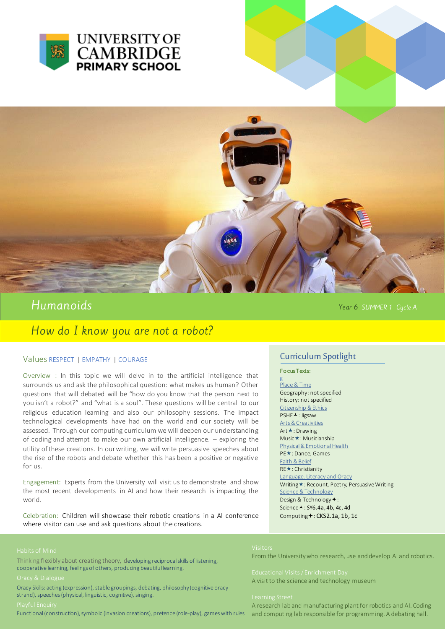



# Humanoids

How do I know you are not a robot?

## Values RESPECT | EMPATHY | COURAGE

Overview : In this topic we will delve in to the artificial intelligence that surrounds us and ask the philosophical question: what makes us human? Other questions that will debated will be "how do you know that the person next to you isn't a robot?" and "what is a soul". These questions will be central to our religious education learning and also our philosophy sessions. The impact technological developments have had on the world and our society will be assessed. Through our computing curriculum we will deepen our understanding of coding and attempt to make our own artificial intelligence. – exploring the utility of these creations. In our writing, we will write persuasive speeches about the rise of the robots and debate whether this has been a positive or negative for us.

Engagement: Experts from the University will visit us to demonstrate and show the most recent developments in AI and how their research is impacting the world.

Celebration: Children will showcase their robotic creations in a AI conference where visitor can use and ask questions about the creations.

Thinking flexibly about creating theory, developing reciprocal skills of listening, cooperative learning, feelings of others, producing beautiful learning.

Oracy Skills: acting (expression), stable groupings, debating, philosophy (cognitive oracy strand), speeches (physical, linguistic, cognitive), singing.

Functional (construction), symbolic (invasion creations), pretence (role-play), games with rules

## Curriculum Spotlight

Year 6 SUMMER 1 Cycle A

### Fo cus Texts:

g Place & Time Geography: not specified History: not specified Citizenship & Ethics PSHE A : Jigsaw Arts & Creativities Art **★**: Drawing Music: Musicianship Physical& Emotional Health PE★: Dance, Games Faith & Belief RE**\***: Christianity Language, Literacy and Oracy Writing \*: Recount, Poetry, Persuasive Writing Science & Technology Design & Technology +: Science A: SY6.4a, 4b, 4c, 4d Computing +: CKS2.1a, 1b, 1c

From the University who research, use and develop AI and robotics.

A visit to the science and technology museum

A research lab and manufacturing plant for robotics and AI. Coding and computing lab responsible for programming. A debating hall.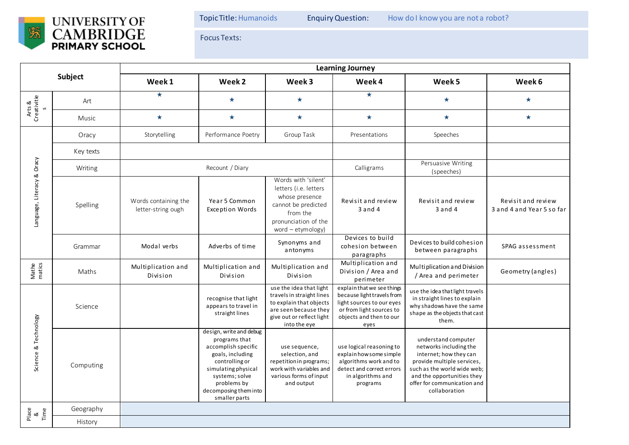

Focus Texts:

| Subject                               |              | <b>Learning Journey</b>                    |                                                                                                                                                                                                         |                                                                                                                                                       |                                                                                                                                                      |                                                                                                                                                                                                                    |                                                 |  |  |  |
|---------------------------------------|--------------|--------------------------------------------|---------------------------------------------------------------------------------------------------------------------------------------------------------------------------------------------------------|-------------------------------------------------------------------------------------------------------------------------------------------------------|------------------------------------------------------------------------------------------------------------------------------------------------------|--------------------------------------------------------------------------------------------------------------------------------------------------------------------------------------------------------------------|-------------------------------------------------|--|--|--|
|                                       |              | Week 1                                     | Week 2                                                                                                                                                                                                  | Week 3                                                                                                                                                | Week 4                                                                                                                                               | Week 5                                                                                                                                                                                                             | Week 6                                          |  |  |  |
| Arts &<br>Creativitie<br>$\mathsf{S}$ | Art          | $\star$                                    | $\star$                                                                                                                                                                                                 | $\star$                                                                                                                                               | $\star$                                                                                                                                              | $\star$                                                                                                                                                                                                            | $\star$                                         |  |  |  |
|                                       | <b>Music</b> | $\star$                                    | $\star$                                                                                                                                                                                                 | $\star$                                                                                                                                               | $\star$                                                                                                                                              | $\star$                                                                                                                                                                                                            | $\star$                                         |  |  |  |
| Language, Literacy & Oracy            | Oracy        | Storytelling                               | Performance Poetry                                                                                                                                                                                      | Group Task                                                                                                                                            | Presentations                                                                                                                                        | Speeches                                                                                                                                                                                                           |                                                 |  |  |  |
|                                       | Key texts    |                                            |                                                                                                                                                                                                         |                                                                                                                                                       |                                                                                                                                                      |                                                                                                                                                                                                                    |                                                 |  |  |  |
|                                       | Writing      | Recount / Diary                            |                                                                                                                                                                                                         |                                                                                                                                                       | Calligrams                                                                                                                                           | Persuasive Writing<br>(speeches)                                                                                                                                                                                   |                                                 |  |  |  |
|                                       | Spelling     | Words containing the<br>letter-string ough | Year 5 Common<br><b>Exception Words</b>                                                                                                                                                                 | Words with 'silent'<br>letters (i.e. letters<br>whose presence<br>cannot be predicted<br>from the<br>pronunciation of the<br>word - etymology)        | Revisit and review<br>$3$ and $4$                                                                                                                    | Revisit and review<br>$3$ and $4$                                                                                                                                                                                  | Revisit and review<br>3 and 4 and Year 5 so far |  |  |  |
|                                       | Grammar      | Modal verbs                                | Adverbs of time                                                                                                                                                                                         | Synonyms and<br>antonyms                                                                                                                              | Devices to build<br>cohesion between<br>paragraphs                                                                                                   | Devices to build cohesion<br>between paragraphs                                                                                                                                                                    | SPAG assessment                                 |  |  |  |
| Mathe<br>matics                       | Maths        | Multiplication and<br>Division             | Multiplication and<br>Division                                                                                                                                                                          | Multiplication and<br>Division                                                                                                                        | Multiplication and<br>Division / Area and<br>perimeter                                                                                               | Multiplication and Division<br>/ Area and perimeter                                                                                                                                                                | Geometry (angles)                               |  |  |  |
| Science & Technology                  | Science      |                                            | recognise that light<br>appears to travel in<br>straight lines                                                                                                                                          | use the idea that light<br>travels in straight lines<br>to explain that objects<br>are seen because they<br>give out or reflect light<br>into the eye | explain that we see things<br>because light travels from<br>light sources to our eyes<br>or from light sources to<br>objects and then to our<br>eyes | use the idea that light travels<br>in straight lines to explain<br>why shadows have the same<br>shape as the objects that cast<br>them.                                                                            |                                                 |  |  |  |
|                                       | Computing    |                                            | design, write and debug<br>programs that<br>accomplish specific<br>goals, including<br>controlling or<br>simulating physical<br>systems; solve<br>problems by<br>decomposing them into<br>smaller parts | use sequence,<br>selection, and<br>repetition in programs;<br>work with variables and<br>various forms of input<br>and output                         | use logical reasoning to<br>explain how some simple<br>algorithms work and to<br>detect and correct errors<br>in algorithms and<br>programs          | understand computer<br>networks including the<br>internet; how they can<br>provide multiple services,<br>such as the world wide web;<br>and the opportunities they<br>offer for communication and<br>collaboration |                                                 |  |  |  |
| Place<br>&<br>Time                    | Geography    |                                            |                                                                                                                                                                                                         |                                                                                                                                                       |                                                                                                                                                      |                                                                                                                                                                                                                    |                                                 |  |  |  |
|                                       | History      |                                            |                                                                                                                                                                                                         |                                                                                                                                                       |                                                                                                                                                      |                                                                                                                                                                                                                    |                                                 |  |  |  |